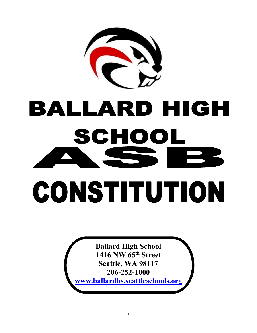

# BALLARD HIGH SCHOOI CONSTITUTION

**Ballard High School 1416 NW 65th Street Seattle, WA 98117 206-252-1000 [www.ballardhs.seattleschools.org](http://www.ballardhs.seattleschools.org/)**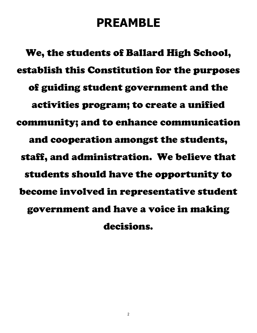# **PREAMBLE**

We, the students of Ballard High School, establish this Constitution for the purposes of guiding student government and the activities program; to create a unified community; and to enhance communication and cooperation amongst the students, staff, and administration. We believe that students should have the opportunity to become involved in representative student government and have a voice in making decisions.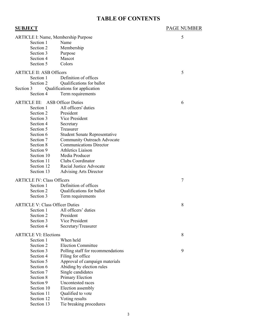# **TABLE OF CONTENTS**

| <u>SUBJECT</u>                             |                                      | <b>PAGE NUMBER</b> |
|--------------------------------------------|--------------------------------------|--------------------|
| <b>ARTICLE I: Name, Membership Purpose</b> |                                      | 5                  |
| Section 1                                  | Name                                 |                    |
| Section 2                                  | Membership                           |                    |
| Section 3                                  | Purpose                              |                    |
| Section 4                                  | Mascot                               |                    |
| Section 5                                  | Colors                               |                    |
| <b>ARTICLE II: ASB Officers</b>            |                                      | 5                  |
| Section 1                                  | Definition of offices                |                    |
| Section 2                                  | Qualifications for ballot            |                    |
| Section 3                                  | Qualifications for application       |                    |
| Section 4                                  | Term requirements                    |                    |
| <b>ARTICLE III: ASB Officer Duties</b>     |                                      | 6                  |
| Section 1                                  | All officers' duties                 |                    |
| Section 2                                  | President                            |                    |
| Section 3                                  | Vice President                       |                    |
| Section 4                                  | Secretary                            |                    |
| Section 5                                  | Treasurer                            |                    |
| Section 6                                  | <b>Student Senate Representative</b> |                    |
| Section 7                                  | Community Outreach Advocate          |                    |
| Section 8                                  | <b>Communications Director</b>       |                    |
| Section 9                                  | Athletics Liaison                    |                    |
| Section 10                                 | Media Producer                       |                    |
| Section 11                                 | Clubs Coordinator                    |                    |
| Section 12                                 | Racial Justice Advocate              |                    |
| Section 13                                 | <b>Advising Arts Director</b>        |                    |
| <b>ARTICLE IV: Class Officers</b>          |                                      | $\tau$             |
| Section 1                                  | Definition of offices                |                    |
| Section 2                                  | Qualifications for ballot            |                    |
| Section 3                                  | Term requirements                    |                    |
|                                            |                                      |                    |
| <b>ARTICLE V: Class Officer Duties</b>     |                                      | 8                  |
| Section 1                                  | All officers' duties                 |                    |
| Section 2                                  | President<br>Vice President          |                    |
| Section 3<br>Section 4                     |                                      |                    |
|                                            | Secretary/Treasurer                  |                    |
| <b>ARTICLE VI: Elections</b>               |                                      | 8                  |
| Section 1                                  | When held                            |                    |
| Section 2                                  | <b>Election Committee</b>            |                    |
| Section 3                                  | Polling staff for recommendations    | 9                  |
| Section 4                                  | Filing for office                    |                    |
| Section 5                                  | Approval of campaign materials       |                    |
| Section 6                                  | Abiding by election rules            |                    |
| Section 7                                  | Single candidates                    |                    |
| Section 8                                  | Primary Election                     |                    |
| Section 9                                  | Uncontested races                    |                    |
| Section 10                                 | Election assembly                    |                    |
| Section 11                                 | Qualified to vote                    |                    |
| Section 12                                 | Voting results                       |                    |
| Section 13                                 | Tie breaking procedures              |                    |
|                                            |                                      |                    |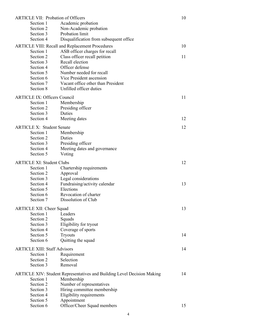| <b>ARTICLE VII: Probation of Officers</b> |                                                                                |    |
|-------------------------------------------|--------------------------------------------------------------------------------|----|
| Section 1                                 | Academic probation                                                             |    |
| Section 2                                 | Non-Academic probation                                                         |    |
| Section 3                                 | Probation limit                                                                |    |
| Section 4                                 | Disqualification from subsequent office                                        |    |
|                                           | ARTICLE VIII: Recall and Replacement Procedures                                | 10 |
| Section 1                                 | ASB officer charges for recall                                                 |    |
| Section 2                                 | Class officer recall petition                                                  | 11 |
| Section 3                                 | Recall election                                                                |    |
| Section 4                                 | Officer defense                                                                |    |
| Section 5                                 | Number needed for recall                                                       |    |
| Section 6                                 | Vice President ascension                                                       |    |
| Section 7                                 | Vacant office other than President                                             |    |
| Section 8                                 | Unfilled officer duties                                                        |    |
| <b>ARTICLE IX: Officers Council</b>       |                                                                                | 11 |
|                                           |                                                                                |    |
| Section 1                                 | Membership                                                                     |    |
| Section 2                                 | Presiding officer<br>Duties                                                    |    |
| Section 3<br>Section 4                    |                                                                                | 12 |
|                                           | Meeting dates                                                                  |    |
| <b>ARTICLE X: Student Senate</b>          |                                                                                | 12 |
| Section 1                                 | Membership                                                                     |    |
| Section 2                                 | Duties                                                                         |    |
| Section 3                                 | Presiding officer                                                              |    |
| Section 4                                 | Meeting dates and governance                                                   |    |
| Section 5                                 | Voting                                                                         |    |
| <b>ARTICLE XI: Student Clubs</b>          |                                                                                | 12 |
| Section 1                                 | Chartership requirements                                                       |    |
| Section 2                                 | Approval                                                                       |    |
| Section 3                                 | Legal considerations                                                           |    |
| Section 4                                 | Fundraising/activity calendar                                                  | 13 |
| Section 5                                 | Elections                                                                      |    |
| Section 6                                 | Revocation of charter                                                          |    |
| Section 7                                 | Dissolution of Club                                                            |    |
|                                           |                                                                                |    |
| <b>ARTICLE XII: Cheer Squad</b>           |                                                                                | 13 |
| Section 1                                 | Leaders                                                                        |    |
| Section 2                                 | Squads                                                                         |    |
| Section 3                                 | Eligibility for tryout                                                         |    |
| Section 4<br>Section 5                    | Coverage of sports                                                             |    |
| Section 6                                 | <b>Tryouts</b><br>Quitting the squad                                           | 14 |
|                                           |                                                                                |    |
| <b>ARTICLE XIII: Staff Advisors</b>       |                                                                                | 14 |
| Section 1                                 | Requirement                                                                    |    |
| Section 2                                 | Selection                                                                      |    |
| Section 3                                 | Removal                                                                        |    |
|                                           | <b>ARTICLE XIV: Student Representatives and Building Level Decision Making</b> | 14 |
| Section 1                                 | Membership                                                                     |    |
| Section 2                                 | Number of representatives                                                      |    |
| Section 3                                 | Hiring committee membership                                                    |    |
| Section 4                                 | Eligibility requirements                                                       |    |
| Section 5                                 | Appointment                                                                    |    |
| Section 6                                 | Officer/Cheer Squad members                                                    | 15 |
|                                           |                                                                                |    |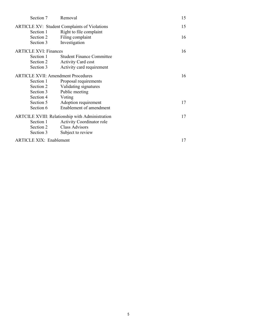| Section 7                                       | Removal                                             | 15 |
|-------------------------------------------------|-----------------------------------------------------|----|
|                                                 | <b>ARTICLE XV: Student Complaints of Violations</b> | 15 |
| Section 1                                       | Right to file complaint                             |    |
| Section 2                                       | Filing complaint                                    | 16 |
| Section 3                                       | Investigation                                       |    |
| <b>ARTICLE XVI: Finances</b>                    | 16                                                  |    |
| Section 1                                       | <b>Student Finance Committee</b>                    |    |
| Section 2                                       | <b>Activity Card cost</b>                           |    |
| Section 3                                       | Activity card requirement                           |    |
| <b>ARTICLE XVII: Amendment Procedures</b>       |                                                     | 16 |
| Section 1                                       | Proposal requirements                               |    |
| Section 2                                       | Validating signatures                               |    |
| Section 3                                       | Public meeting                                      |    |
| Section 4                                       | Voting                                              |    |
| Section 5                                       | Adoption requirement                                | 17 |
| Section 6                                       | Enablement of amendment                             |    |
| ARTCILE XVIII: Relationship with Administration |                                                     | 17 |
| Section 1                                       | <b>Activity Coordinator role</b>                    |    |
| Section 2                                       | <b>Class Advisors</b>                               |    |
| Section 3                                       | Subject to review                                   |    |
| <b>ARTICLE XIX: Enablement</b>                  |                                                     | 17 |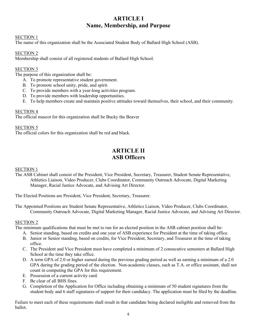# **ARTICLE I Name, Membership, and Purpose**

#### SECTION 1

The name of this organization shall be the Associated Student Body of Ballard High School (ASB).

#### SECTION 2

Membership shall consist of all registered students of Ballard High School.

#### SECTION 3

The purpose of this organization shall be:

- A. To promote representative student government.
- B. To promote school unity, pride, and spirit.
- C. To provide members with a year-long activities program.
- D. To provide members with leadership opportunities.
- E. To help members create and maintain positive attitudes toward themselves, their school, and their community.

#### SECTION 4

The official mascot for this organization shall be Bucky the Beaver

SECTION 5

The official colors for this organization shall be red and black.

# **ARTICLE II ASB Officers**

SECTION 1

The ASB Cabinet shall consist of the President, Vice President, Secretary, Treasurer, Student Senate Representative, Athletics Liaison, Video Producer, Clubs Coordinator, Community Outreach Advocate, Digital Marketing Manager, Racial Justice Advocate, and Advising Art Director.

The Elected Positions are President, Vice President, Secretary, Treasurer.

The Appointed Positions are Student Senate Representative, Athletics Liaison, Video Producer, Clubs Coordinator, Community Outreach Advocate, Digital Marketing Manager, Racial Justice Advocate, and Advising Art Director.

#### SECTION 2

The minimum qualifications that must be met to run for an elected position in the ASB cabinet position shall be:

- A. Senior standing, based on credits and one year of ASB experience for President at the time of taking office.
- B. Junior or Senior standing, based on credits, for Vice President, Secretary, and Treasurer at the time of taking office.
- C. The President and Vice President must have completed a minimum of 2 consecutive semesters at Ballard High School at the time they take office.
- D. A term GPA of 2.0 or higher earned during the previous grading period as well as earning a minimum of a 2.0 GPA during the grading period of the election. Non-academic classes, such as T.A. or office assistant, shall not count in computing the GPA for this requirement.
- E. Possession of a current activity card.
- F. Be clear of all BHS fines.
- G. Completion of the Application for Office including obtaining a minimum of 50 student signatures from the student body and 6 staff signatures of support for their candidacy. The application must be filed by the deadline.

Failure to meet each of these requirements shall result in that candidate being declared ineligible and removed from the ballot.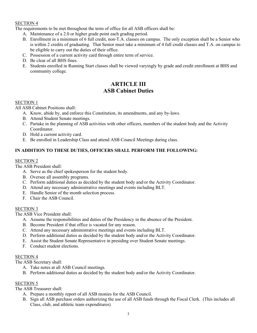The requirements to be met throughout the term of office for all ASB officers shall be:

- A. Maintenance of a 2.0 or higher grade point each grading period.
- B. Enrollment in a minimum of 6 full credit, non-T.A. classes on campus. The only exception shall be a Senior who is within 2 credits of graduating. That Senior must take a minimum of 4 full credit classes and T.A. on campus to be eligible to carry out the duties of their office.
- C. Possession of a current activity card through entire term of service.
- D. Be clear of all BHS fines.
- E. Students enrolled in Running Start classes shall be viewed varyingly by grade and credit enrollment at BHS and community college.

# **ARTICLE III ASB Cabinet Duties**

#### SECTION 1

All ASB Cabinet Positions shall:

- A. Know, abide by, and enforce this Constitution, its amendments, and any by-laws.
- B. Attend Student Senate meetings.
- C. Partake in the planning of ASB activities with other officers, members of the student body and the Activity Coordinator.
- D. Hold a current activity card.
- E. Be enrolled in Leadership Class and attend ASB Council Meetings during class.

#### **IN ADDITION TO THESE DUTIES, OFFICERS SHALL PERFORM THE FOLLOWING:**

#### SECTION 2

The ASB President shall:

- A. Serve as the chief spokesperson for the student body.
- B. Oversee all assembly programs.
- C. Perform additional duties as decided by the student body and/or the Activity Coordinator.
- D. Attend any necessary administrative meetings and events including BLT.
- E. Handle Senior of the month selection process.
- F. Chair the ASB Council.

#### SECTION 3

The ASB Vice President shall:

- A. Assume the responsibilities and duties of the Presidency in the absence of the President.
- B. Become President if that office is vacated for any reason.
- C. Attend any necessary administrative meetings and events including BLT.
- D. Perform additional duties as decided by the student body and/or the Activity Coordinator.
- E. Assist the Student Senate Representative in presiding over Student Senate meetings.
- F. Conduct student elections.

#### SECTION 4

The ASB Secretary shall:

- A. Take notes at all ASB Council meetings.
- B. Perform additional duties as decided by the student body and/or the Activity Coordinator.

#### SECTION 5

The ASB Treasurer shall:

- A. Prepare a monthly report of all ASB monies for the ASB Council.
- B. Sign all ASB purchase orders authorizing the use of all ASB funds through the Fiscal Clerk. (This includes all Class, club, and athletic team expenditures)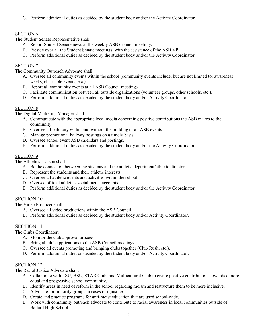C. Perform additional duties as decided by the student body and/or the Activity Coordinator.

#### SECTION 6

The Student Senate Representative shall:

- A. Report Student Senate news at the weekly ASB Council meetings.
- B. Preside over all the Student Senate meetings, with the assistance of the ASB VP.
- C. Perform additional duties as decided by the student body and/or the Activity Coordinator.

#### SECTION 7

The Community Outreach Advocate shall:

- A. Oversee all community events within the school (community events include, but are not limited to: awareness weeks, charitable events, etc.).
- B. Report all community events at all ASB Council meetings.
- C. Facilitate communication between all outside organizations (volunteer groups, other schools, etc.).
- D. Perform additional duties as decided by the student body and/or Activity Coordinator.

#### SECTION 8

The Digital Marketing Manager shall:

- A. Communicate with the appropriate local media concerning positive contributions the ASB makes to the community.
- B. Oversee all publicity within and without the building of all ASB events.
- C. Manage promotional hallway postings on a timely basis.
- D. Oversee school event ASB calendars and postings.
- E. Perform additional duties as decided by the student body and/or the Activity Coordinator.

#### SECTION 9

The Athletics Liaison shall:

- A. Be the connection between the students and the athletic department/athletic director.
- B. Represent the students and their athletic interests.
- C. Oversee all athletic events and activities within the school.
- D. Oversee official athletics social media accounts.
- E. Perform additional duties as decided by the student body and/or the Activity Coordinator.

#### SECTION 10

The Video Producer shall:

- A. Oversee all video productions within the ASB Council.
- B. Perform additional duties as decided by the student body and/or Activity Coordinator.

#### SECTION 11

The Clubs Coordinator:

- A. Monitor the club approval process.
- B. Bring all club applications to the ASB Council meetings.
- C. Oversee all events promoting and bringing clubs together (Club Rush, etc.).
- D. Perform additional duties as decided by the student body and/or Activity Coordinator.

#### SECTION 12

The Racial Justice Advocate shall:

- A. Collaborate with LSU, BSU, STAR Club, and Multicultural Club to create positive contributions towards a more equal and progressive school community.
- B. Identify areas in need of reform in the school regarding racism and restructure them to be more inclusive.
- C. Advocate for minority groups in cases of injustice.
- D. Create and practice programs for anti-racist education that are used school-wide.
- E. Work with community outreach advocate to contribute to racial awareness in local communities outside of Ballard High School.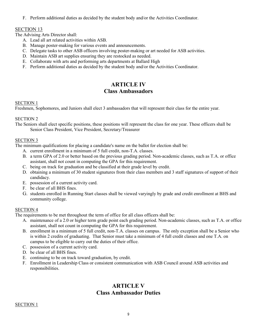F. Perform additional duties as decided by the student body and/or the Activities Coordinator.

#### SECTION 13

The Advising Arts Director shall:

- A. Lead all art related activities within ASB.
- B. Manage poster-making for various events and announcements.
- C. Delegate tasks to other ASB officers involving poster-making or art needed for ASB activities.
- D. Maintain ASB art supplies ensuring they are restocked as needed.
- E. Collaborate with arts and performing arts departments at Ballard High
- F. Perform additional duties as decided by the student body and/or the Activities Coordinator.

# **ARTICLE IV Class Ambassadors**

#### SECTION 1

Freshmen, Sophomores, and Juniors shall elect 3 ambassadors that will represent their class for the entire year.

#### SECTION 2

The Seniors shall elect specific positions, these positions will represent the class for one year. These officers shall be Senior Class President, Vice President, Secretary/Treasurer

#### SECTION 3

The minimum qualifications for placing a candidate's name on the ballot for election shall be:

- A. current enrollment in a minimum of 5 full credit, non-T.A. classes.
- B. a term GPA of 2.0 or better based on the previous grading period. Non-academic classes, such as T.A. or office assistant, shall not count in computing the GPA for this requirement.
- C. being on track for graduation and be classified at their grade level by credit.
- D. obtaining a minimum of 30 student signatures from their class members and 3 staff signatures of support of their candidacy.
- E. possession of a current activity card.
- F. be clear of all BHS fines.
- G. students enrolled in Running Start classes shall be viewed varyingly by grade and credit enrollment at BHS and community college.

#### SECTION 4

The requirements to be met throughout the term of office for all class officers shall be:

- A. maintenance of a 2.0 or higher term grade point each grading period. Non-academic classes, such as T.A. or office assistant, shall not count in computing the GPA for this requirement.
- B. enrollment in a minimum of 5 full credit, non-T.A. classes on campus. The only exception shall be a Senior who is within 2 credits of graduating. That Senior must take a minimum of 4 full credit classes and one T.A. on campus to be eligible to carry out the duties of their office.
- C. possession of a current activity card.
- D. be clear of all BHS fines.
- E. continuing to be on track toward graduation, by credit.
- F. Enrollment in Leadership Class or consistent communication with ASB Council around ASB activities and responsibilities.

# **ARTICLE V Class Ambassador Duties**

#### SECTION 1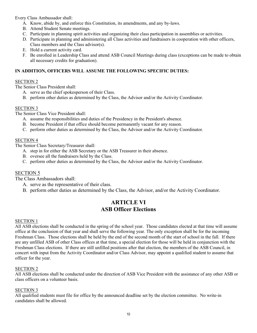Every Class Ambassador shall:

- A. Know, abide by, and enforce this Constitution, its amendments, and any by-laws.
- B. Attend Student Senate meetings.
- C. Participate in planning spirit activities and organizing their class participation in assemblies or activities.
- D. Participate in planning and administering all Class activities and fundraisers in cooperation with other officers, Class members and the Class advisor(s).
- E. Hold a current activity card.
- F. Be enrolled in Leadership Class and attend ASB Council Meetings during class (exceptions can be made to obtain all necessary credits for graduation).

#### **IN ADDITION, OFFICERS WILL ASSUME THE FOLLOWING SPECIFIC DUTIES:**

#### SECTION 2

The Senior Class President shall:

- A. serve as the chief spokesperson of their Class.
- B. perform other duties as determined by the Class, the Advisor and/or the Activity Coordinator.

#### SECTION 3

The Senior Class Vice President shall:

- A. assume the responsibilities and duties of the Presidency in the President's absence.
- B. become President if that office should become permanently vacant for any reason.
- C. perform other duties as determined by the Class, the Advisor and/or the Activity Coordinator.

#### SECTION 4

The Senior Class Secretary/Treasurer shall:

- A. step in for either the ASB Secretary or the ASB Treasurer in their absence.
- B. oversee all the fundraisers held by the Class.
- C. perform other duties as determined by the Class, the Advisor and/or the Activity Coordinator.

#### SECTION 5

The Class Ambassadors shall:

- A. serve as the representative of their class.
- B. perform other duties as determined by the Class, the Advisor, and/or the Activity Coordinator.

# **ARTICLE VI ASB Officer Elections**

#### SECTION 1

All ASB elections shall be conducted in the spring of the school year. Those candidates elected at that time will assume office at the conclusion of that year and shall serve the following year. The only exception shall be for the incoming Freshman Class. Those elections shall be held by the end of the second month of the start of school in the fall. If there are any unfilled ASB of other Class offices at that time, a special election for those will be held in conjunction with the Freshman Class elections. If there are still unfilled positions after that election, the members of the ASB Council, in concert with input from the Activity Coordinator and/or Class Advisor, may appoint a qualified student to assume that officer for the year.

#### SECTION 2

All ASB elections shall be conducted under the direction of ASB Vice President with the assistance of any other ASB or class officers on a volunteer basis.

#### SECTION 3

All qualified students must file for office by the announced deadline set by the election committee. No write-in candidates shall be allowed.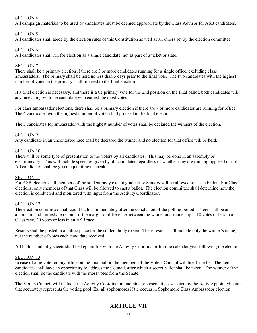All campaign materials to be used by candidates must be deemed appropriate by the Class Advisor for ASB candidates.

#### SECTION 5

All candidates shall abide by the election rules of this Constitution as well as all others set by the election committee.

#### SECTION 6

All candidates shall run for election as a single candidate, not as part of a ticket or slate.

#### SECTION 7

There shall be a primary election if there are 3 or more candidates running for a single office, excluding class ambassadors. The primary shall be held no less than 3 days prior to the final vote. The two candidates with the highest number of votes in the primary shall proceed to the final election.

If a final election is necessary, and there is a tie primary vote for the 2nd position on the final ballot, both candidates will advance along with the candidate who earned the most votes.

For class ambassador elections, there shall be a primary election if there are 7 or more candidates are running for office. The 6 candidates with the highest number of votes shall proceed to the final election.

The 3 candidates for ambassador with the highest number of votes shall be declared the winners of the election.

#### SECTION 9

Any candidate in an uncontested race shall be declared the winner and no election for that office will be held.

#### SECTION 10

There will be some type of presentation to the voters by all candidates. This may be done in an assembly or electronically. This will include speeches given by all candidates regardless of whether they are running opposed or not. All candidates shall be given equal time to speak.

#### SECTION 11

For ASB elections, all members of the student body except graduating Seniors will be allowed to cast a ballot. For Class elections, only members of that Class will be allowed to cast a ballot. The election committee shall determine how the election is conducted and monitored with input from the Activity Coordinator.

#### SECTION 12

The election committee shall count ballots immediately after the conclusion of the polling period. There shall be an automatic and immediate recount if the margin of difference between the winner and runner-up is 10 votes or less in a Class race, 20 votes or less in an ASB race.

Results shall be posted in a public place for the student body to see. These results shall include only the winner's name, not the number of votes each candidate received.

All ballots and tally sheets shall be kept on file with the Activity Coordinator for one calendar year following the election.

#### SECTION 13

In case of a tie vote for any office on the final ballot, the members of the Voters Council will break the tie. The tied candidates shall have an opportunity to address the Council, after which a secret ballot shall be taken. The winner of the election shall be the candidate with the most votes from the Senate.

The Voters Council will include: the Activity Coordinator, and nine representatives selected by the ActiviAppointedinator that accurately represents the voting pool. Ex; all sophomores if tie occurs in Sophomore Class Ambassador election.

# **ARTICLE VII**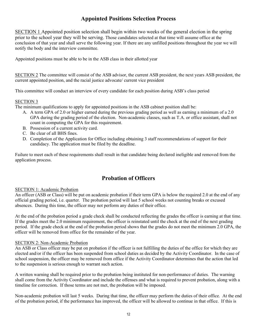# **Appointed Positions Selection Process**

SECTION 1 Appointed position selection shall begin within two weeks of the general election in the spring prior to the school year they will be serving. Those candidates selected at that time will assume office at the conclusion of that year and shall serve the following year. If there are any unfilled positions throughout the year we will notify the body and the interview committee.

Appointed positions must be able to be in the ASB class in their allotted year

SECTION 2 The committee will consist of the ASB advisor, the current ASB president, the next years ASB president, the current appointed position, and the racial justice advocate/ current vice president

This committee will conduct an interview of every candidate for each position during ASB's class period

#### SECTION 3

The minimum qualifications to apply for appointed positions in the ASB cabinet position shall be:

- A. A term GPA of 2.0 or higher earned during the previous grading period as well as earning a minimum of a 2.0 GPA during the grading period of the election. Non-academic classes, such as T.A. or office assistant, shall not count in computing the GPA for this requirement.
- B. Possession of a current activity card.
- C. Be clear of all BHS fines.
- D. Completion of the Application for Office including obtaining 3 staff recommendations of support for their candidacy. The application must be filed by the deadline.

Failure to meet each of these requirements shall result in that candidate being declared ineligible and removed from the application process.

# **Probation of Officers**

#### SECTION 1: Academic Probation

An officer (ASB or Class) will be put on academic probation if their term GPA is below the required 2.0 at the end of any official grading period, i.e. quarter. The probation period will last 5 school weeks not counting breaks or excused absences. During this time, the officer may not perform any duties of their office.

At the end of the probation period a grade check shall be conducted reflecting the grades the officer is earning at that time. If the grades meet the 2.0 minimum requirement, the officer is reinstated until the check at the end of the next grading period. If the grade check at the end of the probation period shows that the grades do not meet the minimum 2.0 GPA, the officer will be removed from office for the remainder of the year.

#### SECTION 2: Non-Academic Probation

An ASB or Class officer may be put on probation if the officer is not fulfilling the duties of the office for which they are elected and/or if the officer has been suspended from school duties as decided by the Activity Coordinator. In the case of school suspension, the officer may be removed from office if the Activity Coordinator determines that the action that led to the suspension is serious enough to warrant such action.

A written warning shall be required prior to the probation being instituted for non-performance of duties. The warning shall come from the Activity Coordinator and include the offenses and what is required to prevent probation, along with a timeline for correction. If those terms are not met, the probation will be imposed.

Non-academic probation will last 5 weeks. During that time, the officer may perform the duties of their office. At the end of the probation period, if the performance has improved, the officer will be allowed to continue in that office. If this is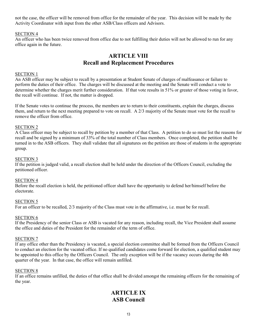not the case, the officer will be removed from office for the remainder of the year. This decision will be made by the Activity Coordinator with input from the other ASB/Class officers and Advisors.

#### SECTION 4

An officer who has been twice removed from office due to not fulfilling their duties will not be allowed to run for any office again in the future.

# **ARTICLE VIII Recall and Replacement Procedures**

#### SECTION 1

An ASB officer may be subject to recall by a presentation at Student Senate of charges of malfeasance or failure to perform the duties of their office. The charges will be discussed at the meeting and the Senate will conduct a vote to determine whether the charges merit further consideration. If that vote results in 51% or greater of those voting in favor, the recall will continue. If not, the matter is dropped.

If the Senate votes to continue the process, the members are to return to their constituents, explain the charges, discuss them, and return to the next meeting prepared to vote on recall. A 2/3 majority of the Senate must vote for the recall to remove the officer from office.

#### SECTION 2

A Class officer may be subject to recall by petition by a member of that Class. A petition to do so must list the reasons for recall and be signed by a minimum of 33% of the total number of Class members. Once completed, the petition shall be turned in to the ASB officers. They shall validate that all signatures on the petition are those of students in the appropriate group.

#### SECTION 3

If the petition is judged valid, a recall election shall be held under the direction of the Officers Council, excluding the petitioned officer.

#### SECTION 4

Before the recall election is held, the petitioned officer shall have the opportunity to defend her/himself before the electorate.

#### SECTION 5

For an officer to be recalled, 2/3 majority of the Class must vote in the affirmative, i.e. must be for recall.

#### SECTION 6

If the Presidency of the senior Class or ASB is vacated for any reason, including recall, the Vice President shall assume the office and duties of the President for the remainder of the term of office.

#### SECTION 7

If any office other than the Presidency is vacated, a special election committee shall be formed from the Officers Council to conduct an election for the vacated office. If no qualified candidates come forward for election, a qualified student may be appointed to this office by the Officers Council. The only exception will be if the vacancy occurs during the 4th quarter of the year. In that case, the office will remain unfilled.

#### SECTION 8

If an office remains unfilled, the duties of that office shall be divided amongst the remaining officers for the remaining of the year.

# **ARTICLE IX ASB Council**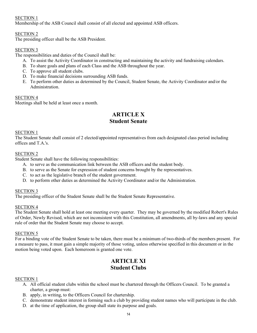Membership of the ASB Council shall consist of all elected and appointed ASB officers.

#### SECTION 2

The presiding officer shall be the ASB President.

#### SECTION 3

The responsibilities and duties of the Council shall be:

- A. To assist the Activity Coordinator in constructing and maintaining the activity and fundraising calendars.
- B. To share goals and plans of each Class and the ASB throughout the year.
- C. To approve all student clubs.
- D. To make financial decisions surrounding ASB funds.
- E. To perform other duties as determined by the Council, Student Senate, the Activity Coordinator and/or the Administration.

#### SECTION 4

Meetings shall be held at least once a month.

# **ARTICLE X Student Senate**

#### SECTION 1

The Student Senate shall consist of 2 elected/appointed representatives from each designated class period including offices and T.A.'s.

#### SECTION 2

Student Senate shall have the following responsibilities:

- A. to serve as the communication link between the ASB officers and the student body.
- B. to serve as the Senate for expression of student concerns brought by the representatives.
- C. to act as the legislative branch of the student government.
- D. to perform other duties as determined the Activity Coordinator and/or the Administration.

#### SECTION 3

The presiding officer of the Student Senate shall be the Student Senate Representative.

#### SECTION 4

The Student Senate shall hold at least one meeting every quarter. They may be governed by the modified Robert's Rules of Order, Newly Revised, which are not inconsistent with this Constitution, all amendments, all by-laws and any special rule of order that the Student Senate may choose to accept.

#### SECTION 5

For a binding vote of the Student Senate to be taken, there must be a minimum of two-thirds of the members present. For a measure to pass, it must gain a simple majority of those voting, unless otherwise specified in this document or in the motion being voted upon. Each homeroom is granted one vote.

# **ARTICLE XI Student Clubs**

#### SECTION 1

- A. All official student clubs within the school must be chartered through the Officers Council. To be granted a charter, a group must:
- B. apply, in writing, to the Officers Council for chartership.
- C. demonstrate student interest in forming such a club by providing student names who will participate in the club.
- D. at the time of application, the group shall state its purpose and goals.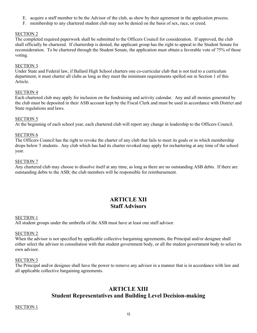- E. acquire a staff member to be the Advisor of the club, as show by their agreement in the application process.
- F. membership to any chartered student club may not be denied on the basis of sex, race, or creed.

The completed required paperwork shall be submitted to the Officers Council for consideration. If approved, the club shall officially be chartered. If chartership is denied, the applicant group has the right to appeal to the Student Senate for reconsideration. To be chartered through the Student Senate, the application must obtain a favorable vote of 75% of those voting.

#### SECTION 3

Under State and Federal law, if Ballard High School charters one co-curricular club that is not tied to a curriculum department, it must charter all clubs as long as they meet the minimum requirements spelled out in Section 1 of this Article.

#### SECTION 4

Each chartered club may apply for inclusion on the fundraising and activity calendar. Any and all monies generated by the club must be deposited in their ASB account kept by the Fiscal Clerk and must be used in accordance with District and State regulations and laws.

#### SECTION 5

At the beginning of each school year, each chartered club will report any change in leadership to the Officers Council.

#### SECTION 6

The Officers Council has the right to revoke the charter of any club that fails to meet its goals or in which membership drops below 5 students. Any club which has had its charter revoked may apply for rechartering at any time of the school year.

#### SECTION 7

Any chartered club may choose to dissolve itself at any time, as long as there are no outstanding ASB debts. If there are outstanding debts to the ASB; the club members will be responsible for reimbursement.

# **ARTICLE XII Staff Advisors**

#### SECTION 1

All student groups under the umbrella of the ASB must have at least one staff advisor.

#### SECTION 2

When the advisor is not specified by applicable collective bargaining agreements, the Principal and/or designee shall either select the advisor in consultation with that student government body, or all the student government body to select its own advisor.

#### SECTION 3

The Principal and/or designee shall have the power to remove any advisor in a manner that is in accordance with law and all applicable collective bargaining agreements.

# **ARTICLE XIII Student Representatives and Building Level Decision-making**

#### SECTION 1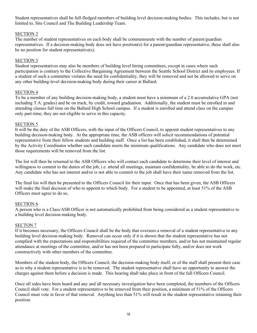Student representatives shall be full-fledged members of building level decision-making bodies. This includes, but is not limited to, Site Council and The Building Leadership Team.

#### SECTION 2

The number of student representatives on each body shall be commensurate with the number of parent/guardian representatives. If a decision-making body does not have position(s) for a parent/guardian representative, these shall also be no position for student representative(s).

#### SECTION 3

Student representatives may also be members of building level hiring committees, except in cases where such participation is contrary to the Collective Bargaining Agreement between the Seattle School District and its employees. If a student of such a committee violates the need for confidentiality, they will be removed and not be allowed to serve on any other building-level decision-making body during their career at Ballard.

#### SECTION 4

To be a member of any building decision-making body, a student must have a minimum of a 2.0 accumulative GPA (not including T.A. grades) and be on track, by credit, toward graduation. Additionally, the student must be enrolled in and attending classes full time on the Ballard High School campus. If a student is enrolled and attend class on the campus only part-time, they are not eligible to serve in this capacity.

#### SECTION 5

It will be the duty of the ASB Officers, with the input of the Officers Council, to appoint student representatives to any building decision-making body. At the appropriate time, the ASB officers will solicit recommendations of potential representative from their fellow students and building staff. Once a list has been established, it shall then be determined by the Activity Coordinator whether each candidate meets the minimum qualifications. Any candidate who does not meet those requirements will be removed from the list.

The list will then be returned to the ASB Officers who will contact each candidate to determine their level of interest and willingness to commit to the duties of the job, i.e. attend all meetings, maintain confidentiality, be able to do the work, etc. Any candidate who has not interest and/or is not able to commit to the job shall have their name removed from the list.

The final list will then be presented to the Officers Council for their input. Once that has been given, the ASB Officers will make the final decision of who to appoint to which body. For a student to be appointed, at least 51% of the ASB Officers must agree to do so,

#### SECTION 6

A person who is a Class/ASB Officer is not automatically prohibited from being considered as a student representative to a building level decision-making body.

#### SECTON 7

If it becomes necessary, the Officers Council shall be the body that oversees a removal of a student representative to any building level decision-making body. Removal can occur only if it is shown that the student representative has not complied with the expectations and responsibilities required of the committee members, and/or has not maintained regular attendance at meetings of the committee, and/or has not been prepared to participate fully, and/or does not work constructively with other members of the committee.

Members of the student body, the Officers Council, the decision-making body itself, or of the staff shall present their case as to why a student representative is to be removed. The student representative shall have an opportunity to answer the charges against them before a decision is made. This hearing shall take place in front of the full Officers Council.

Once all sides have been heard and any and all necessary investigation have been completed, the members of the Officers Council shall vote. For a student representative to be removed from their position, a minimum of 51% of the Officers Council must vote in favor of that removal. Anything less than 51% will result in the student representative retaining their position.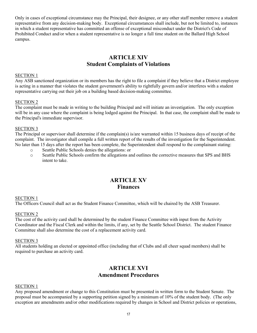Only in cases of exceptional circumstance may the Principal, their designee, or any other staff member remove a student representative from any decision-making body. Exceptional circumstances shall include, but not be limited to, instances in which a student representative has committed an offense of exceptional misconduct under the District's Code of Prohibited Conduct and/or when a student representative is no longer a full time student on the Ballard High School campus.

# **ARTICLE XIV Student Complaints of Violations**

#### SECTION 1

Any ASB sanctioned organization or its members has the right to file a complaint if they believe that a District employee is acting in a manner that violates the student government's ability to rightfully govern and/or interferes with a student representative carrying out their job on a building based decision-making committee.

#### SECTION 2

The complaint must be made in writing to the building Principal and will initiate an investigation. The only exception will be in any case where the complaint is being lodged against the Principal. In that case, the complaint shall be made to the Principal's immediate supervisor.

#### SECTION 3

The Principal or supervisor shall determine if the complain(s) is/are warranted within 15 business days of receipt of the complaint. The investigator shall compile a full written report of the results of the investigation for the Superintendent. No later than 15 days after the report has been complete, the Superintendent shall respond to the complainant stating:

- 
- o Seattle Public Schools denies the allegations: or Seattle Public Schools confirm the allegations and outlines the corrective measures that SPS and BHS intent to take.

# **ARTICLE XV Finances**

#### SECTION 1

The Officers Council shall act as the Student Finance Committee, which will be chaired by the ASB Treasurer.

#### SECTION 2

The cost of the activity card shall be determined by the student Finance Committee with input from the Activity Coordinator and the Fiscal Clerk and within the limits, if any, set by the Seattle School District. The student Finance Committee shall also determine the cost of a replacement activity card.

#### SECTION 3

All students holding an elected or appointed office (including that of Clubs and all cheer squad members) shall be required to purchase an activity card.

# **ARTICLE XVI Amendment Procedures**

#### SECTION 1

Any proposed amendment or change to this Constitution must be presented in written form to the Student Senate. The proposal must be accompanied by a supporting petition signed by a minimum of 10% of the student body. (The only exception are amendments and/or other modifications required by changes in School and District policies or operations,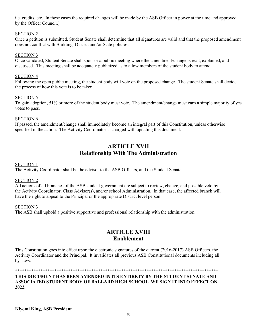i.e. credits, etc. In these cases the required changes will be made by the ASB Officer in power at the time and approved by the Officer Council.)

#### SECTION 2

Once a petition is submitted, Student Senate shall determine that all signatures are valid and that the proposed amendment does not conflict with Building, District and/or State policies.

#### SECTION 3

Once validated, Student Senate shall sponsor a public meeting where the amendment/change is read, explained, and discussed. This meeting shall be adequately publicized as to allow members of the student body to attend.

#### SECTION 4

Following the open public meeting, the student body will vote on the proposed change. The student Senate shall decide the process of how this vote is to be taken.

#### SECTION 5

To gain adoption, 51% or more of the student body must vote. The amendment/change must earn a simple majority of yes votes to pass.

#### SECTION 6

If passed, the amendment/change shall immediately become an integral part of this Constitution, unless otherwise specified in the action. The Activity Coordinator is charged with updating this document.

# **ARTICLE XVII Relationship With The Administration**

#### SECTION 1

The Activity Coordinator shall be the advisor to the ASB Officers, and the Student Senate.

#### SECTION 2

All actions of all branches of the ASB student government are subject to review, change, and possible veto by the Activity Coordinator, Class Advisor(s), and/or school Administration. In that case, the affected branch will have the right to appeal to the Principal or the appropriate District level person.

#### SECTION 3

The ASB shall uphold a positive supportive and professional relationship with the administration.

# **ARTICLE XVIII Enablement**

This Constitution goes into effect upon the electronic signatures of the current (2016-2017) ASB Officers, the Activity Coordinator and the Principal. It invalidates all previous ASB Constitutional documents including all by-laws.

**\*\*\*\*\*\*\*\*\*\*\*\*\*\*\*\*\*\*\*\*\*\*\*\*\*\*\*\*\*\*\*\*\*\*\*\*\*\*\*\*\*\*\*\*\*\*\*\*\*\*\*\*\*\*\*\*\*\*\*\*\*\*\*\*\*\*\*\*\*\*\*\*\*\*\*\*\*\*\*\*\*\*\*\*\*\*\*\*** 

#### **THIS DOCUMENT HAS BEEN AMENDED IN ITS ENTIRETY BY THE STUDENT SENATE AND ASSOCIATED STUDENT BODY OF BALLARD HIGH SCHOOL. WE SIGN IT INTO EFFECT ON \_\_\_ \_\_ 2022.**